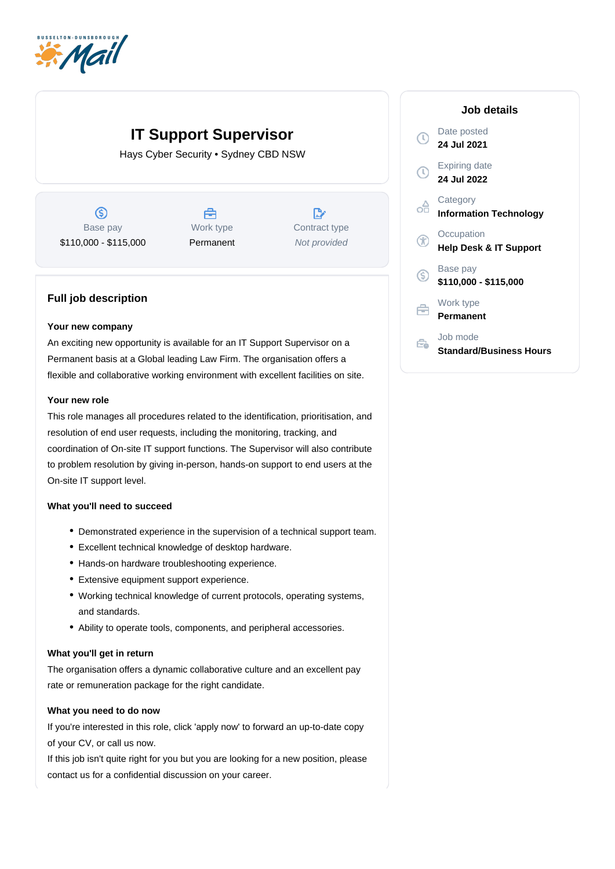

# **IT Support Supervisor**

Hays Cyber Security • Sydney CBD NSW

 $\circledS$ Base pay \$110,000 - \$115,000

Å Work type Permanent

 $\mathbb{R}^n$ Contract type Not provided

## **Full job description**

#### **Your new company**

An exciting new opportunity is available for an IT Support Supervisor on a Permanent basis at a Global leading Law Firm. The organisation offers a flexible and collaborative working environment with excellent facilities on site.

### **Your new role**

This role manages all procedures related to the identification, prioritisation, and resolution of end user requests, including the monitoring, tracking, and coordination of On-site IT support functions. The Supervisor will also contribute to problem resolution by giving in-person, hands-on support to end users at the On-site IT support level.

#### **What you'll need to succeed**

- Demonstrated experience in the supervision of a technical support team.
- Excellent technical knowledge of desktop hardware.
- Hands-on hardware troubleshooting experience.
- Extensive equipment support experience.
- Working technical knowledge of current protocols, operating systems, and standards.
- Ability to operate tools, components, and peripheral accessories.

#### **What you'll get in return**

The organisation offers a dynamic collaborative culture and an excellent pay rate or remuneration package for the right candidate.

#### **What you need to do now**

If you're interested in this role, click 'apply now' to forward an up-to-date copy of your CV, or call us now.

If this job isn't quite right for you but you are looking for a new position, please contact us for a confidential discussion on your career.

### **Job details** Date posted  $\circ$ **24 Jul 2021** Expiring date  $\circledR$ **24 Jul 2022 Category** oo **Information Technology Occupation** G **Help Desk & IT Support** Base pay  $\circledS$ **\$110,000 - \$115,000** Work type 户 **Permanent** Job mode  $\epsilon$ **Standard/Business Hours**